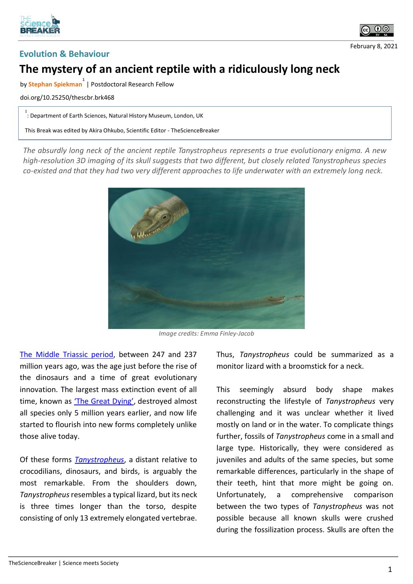





## **The mystery of an ancient reptile with a ridiculously long neck**

by **Stephan Spiekman 1** | Postdoctoral Research Fellow

doi.org/10.25250/thescbr.brk468

1<br>: Department of Earth Sciences, Natural History Museum, London, UK

This Break was edited by Akira Ohkubo, Scientific Editor - TheScienceBreaker

*The absurdly long neck of the ancient reptile Tanystropheus represents a true evolutionary enigma. A new high-resolution 3D imaging of its skull suggests that two different, but closely related Tanystropheus species co-existed and that they had two very different approaches to life underwater with an extremely long neck.*



*Image credits: Emma Finley-Jacob*

[The Middle Triassic period,](https://en.wikipedia.org/wiki/Middle_Triassic) between 247 and 237 million years ago, was the age just before the rise of the dinosaurs and a time of great evolutionary innovation. The largest mass extinction event of all time, known as ['The Great Dying'](https://en.wikipedia.org/wiki/Permian–Triassic_extinction_event), destroyed almost all species only 5 million years earlier, and now life started to flourish into new forms completely unlike those alive today.

Of these forms *[Tanystropheus](https://en.wikipedia.org/wiki/Tanystropheus)*, a distant relative to crocodilians, dinosaurs, and birds, is arguably the most remarkable. From the shoulders down, *Tanystropheus*resembles a typical lizard, but its neck is three times longer than the torso, despite consisting of only 13 extremely elongated vertebrae. Thus, *Tanystropheus* could be summarized as a monitor lizard with a broomstick for a neck.

This seemingly absurd body shape makes reconstructing the lifestyle of *Tanystropheus* very challenging and it was unclear whether it lived mostly on land or in the water. To complicate things further, fossils of *Tanystropheus* come in a small and large type. Historically, they were considered as juveniles and adults of the same species, but some remarkable differences, particularly in the shape of their teeth, hint that more might be going on. Unfortunately, a comprehensive comparison between the two types of *Tanystropheus* was not possible because all known skulls were crushed during the fossilization process. Skulls are often the